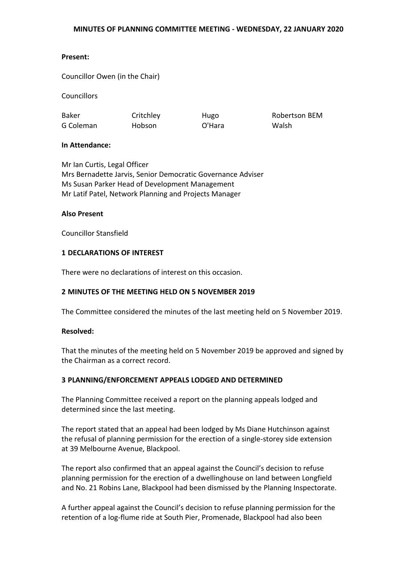## **Present:**

Councillor Owen (in the Chair)

**Councillors** 

Baker G Coleman **Critchley** Hobson

Hugo O'Hara

Robertson BEM Walsh

## **In Attendance:**

Mr Ian Curtis, Legal Officer Mrs Bernadette Jarvis, Senior Democratic Governance Adviser Ms Susan Parker Head of Development Management Mr Latif Patel, Network Planning and Projects Manager

## **Also Present**

Councillor Stansfield

### **1 DECLARATIONS OF INTEREST**

There were no declarations of interest on this occasion.

## **2 MINUTES OF THE MEETING HELD ON 5 NOVEMBER 2019**

The Committee considered the minutes of the last meeting held on 5 November 2019.

#### **Resolved:**

That the minutes of the meeting held on 5 November 2019 be approved and signed by the Chairman as a correct record.

#### **3 PLANNING/ENFORCEMENT APPEALS LODGED AND DETERMINED**

The Planning Committee received a report on the planning appeals lodged and determined since the last meeting.

The report stated that an appeal had been lodged by Ms Diane Hutchinson against the refusal of planning permission for the erection of a single-storey side extension at 39 Melbourne Avenue, Blackpool.

The report also confirmed that an appeal against the Council's decision to refuse planning permission for the erection of a dwellinghouse on land between Longfield and No. 21 Robins Lane, Blackpool had been dismissed by the Planning Inspectorate.

A further appeal against the Council's decision to refuse planning permission for the retention of a log-flume ride at South Pier, Promenade, Blackpool had also been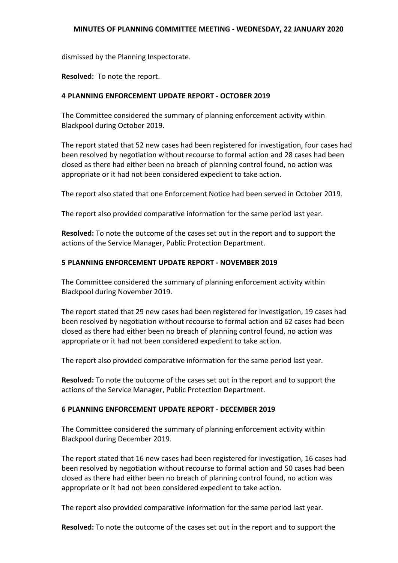dismissed by the Planning Inspectorate.

**Resolved:** To note the report.

# **4 PLANNING ENFORCEMENT UPDATE REPORT - OCTOBER 2019**

The Committee considered the summary of planning enforcement activity within Blackpool during October 2019.

The report stated that 52 new cases had been registered for investigation, four cases had been resolved by negotiation without recourse to formal action and 28 cases had been closed as there had either been no breach of planning control found, no action was appropriate or it had not been considered expedient to take action.

The report also stated that one Enforcement Notice had been served in October 2019.

The report also provided comparative information for the same period last year.

**Resolved:** To note the outcome of the cases set out in the report and to support the actions of the Service Manager, Public Protection Department.

# **5 PLANNING ENFORCEMENT UPDATE REPORT - NOVEMBER 2019**

The Committee considered the summary of planning enforcement activity within Blackpool during November 2019.

The report stated that 29 new cases had been registered for investigation, 19 cases had been resolved by negotiation without recourse to formal action and 62 cases had been closed as there had either been no breach of planning control found, no action was appropriate or it had not been considered expedient to take action.

The report also provided comparative information for the same period last year.

**Resolved:** To note the outcome of the cases set out in the report and to support the actions of the Service Manager, Public Protection Department.

## **6 PLANNING ENFORCEMENT UPDATE REPORT - DECEMBER 2019**

The Committee considered the summary of planning enforcement activity within Blackpool during December 2019.

The report stated that 16 new cases had been registered for investigation, 16 cases had been resolved by negotiation without recourse to formal action and 50 cases had been closed as there had either been no breach of planning control found, no action was appropriate or it had not been considered expedient to take action.

The report also provided comparative information for the same period last year.

**Resolved:** To note the outcome of the cases set out in the report and to support the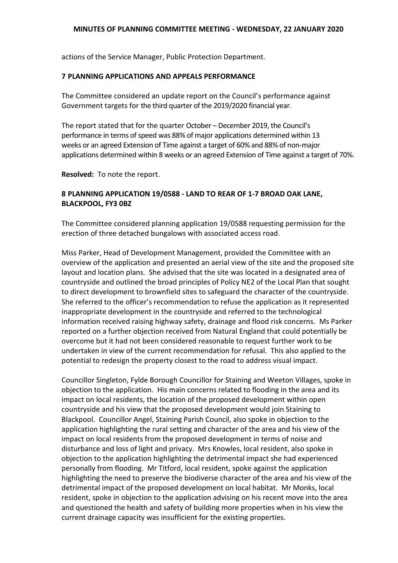actions of the Service Manager, Public Protection Department.

### **7 PLANNING APPLICATIONS AND APPEALS PERFORMANCE**

The Committee considered an update report on the Council's performance against Government targets for the third quarter of the 2019/2020 financial year.

The report stated that for the quarter October – December 2019, the Council's performance in terms of speed was 88% of major applications determined within 13 weeks or an agreed Extension of Time against a target of 60% and 88% of non-major applications determined within 8 weeks or an agreed Extension of Time against a target of 70%.

**Resolved:** To note the report.

# **8 PLANNING APPLICATION 19/0588 - LAND TO REAR OF 1-7 BROAD OAK LANE, BLACKPOOL, FY3 0BZ**

The Committee considered planning application 19/0588 requesting permission for the erection of three detached bungalows with associated access road.

Miss Parker, Head of Development Management, provided the Committee with an overview of the application and presented an aerial view of the site and the proposed site layout and location plans. She advised that the site was located in a designated area of countryside and outlined the broad principles of Policy NE2 of the Local Plan that sought to direct development to brownfield sites to safeguard the character of the countryside. She referred to the officer's recommendation to refuse the application as it represented inappropriate development in the countryside and referred to the technological information received raising highway safety, drainage and flood risk concerns. Ms Parker reported on a further objection received from Natural England that could potentially be overcome but it had not been considered reasonable to request further work to be undertaken in view of the current recommendation for refusal. This also applied to the potential to redesign the property closest to the road to address visual impact.

Councillor Singleton, Fylde Borough Councillor for Staining and Weeton Villages, spoke in objection to the application. His main concerns related to flooding in the area and its impact on local residents, the location of the proposed development within open countryside and his view that the proposed development would join Staining to Blackpool. Councillor Angel, Staining Parish Council, also spoke in objection to the application highlighting the rural setting and character of the area and his view of the impact on local residents from the proposed development in terms of noise and disturbance and loss of light and privacy. Mrs Knowles, local resident, also spoke in objection to the application highlighting the detrimental impact she had experienced personally from flooding. Mr Titford, local resident, spoke against the application highlighting the need to preserve the biodiverse character of the area and his view of the detrimental impact of the proposed development on local habitat. Mr Monks, local resident, spoke in objection to the application advising on his recent move into the area and questioned the health and safety of building more properties when in his view the current drainage capacity was insufficient for the existing properties.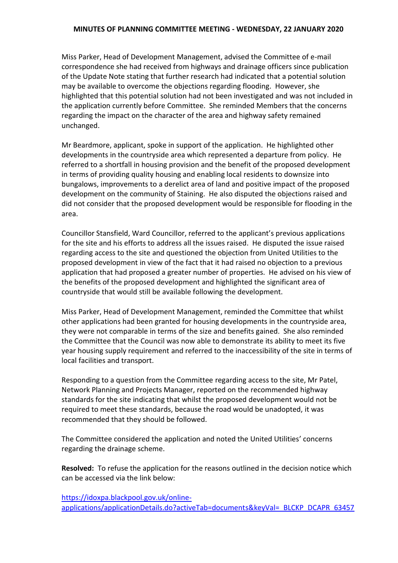Miss Parker, Head of Development Management, advised the Committee of e-mail correspondence she had received from highways and drainage officers since publication of the Update Note stating that further research had indicated that a potential solution may be available to overcome the objections regarding flooding. However, she highlighted that this potential solution had not been investigated and was not included in the application currently before Committee. She reminded Members that the concerns regarding the impact on the character of the area and highway safety remained unchanged.

Mr Beardmore, applicant, spoke in support of the application. He highlighted other developments in the countryside area which represented a departure from policy. He referred to a shortfall in housing provision and the benefit of the proposed development in terms of providing quality housing and enabling local residents to downsize into bungalows, improvements to a derelict area of land and positive impact of the proposed development on the community of Staining. He also disputed the objections raised and did not consider that the proposed development would be responsible for flooding in the area.

Councillor Stansfield, Ward Councillor, referred to the applicant's previous applications for the site and his efforts to address all the issues raised. He disputed the issue raised regarding access to the site and questioned the objection from United Utilities to the proposed development in view of the fact that it had raised no objection to a previous application that had proposed a greater number of properties. He advised on his view of the benefits of the proposed development and highlighted the significant area of countryside that would still be available following the development.

Miss Parker, Head of Development Management, reminded the Committee that whilst other applications had been granted for housing developments in the countryside area, they were not comparable in terms of the size and benefits gained. She also reminded the Committee that the Council was now able to demonstrate its ability to meet its five year housing supply requirement and referred to the inaccessibility of the site in terms of local facilities and transport.

Responding to a question from the Committee regarding access to the site, Mr Patel, Network Planning and Projects Manager, reported on the recommended highway standards for the site indicating that whilst the proposed development would not be required to meet these standards, because the road would be unadopted, it was recommended that they should be followed.

The Committee considered the application and noted the United Utilities' concerns regarding the drainage scheme.

**Resolved:** To refuse the application for the reasons outlined in the decision notice which can be accessed via the link below:

[https://idoxpa.blackpool.gov.uk/online](https://idoxpa.blackpool.gov.uk/online-applications/applicationDetails.do?activeTab=documents&keyVal=_BLCKP_DCAPR_63457)[applications/applicationDetails.do?activeTab=documents&keyVal=\\_BLCKP\\_DCAPR\\_63457](https://idoxpa.blackpool.gov.uk/online-applications/applicationDetails.do?activeTab=documents&keyVal=_BLCKP_DCAPR_63457)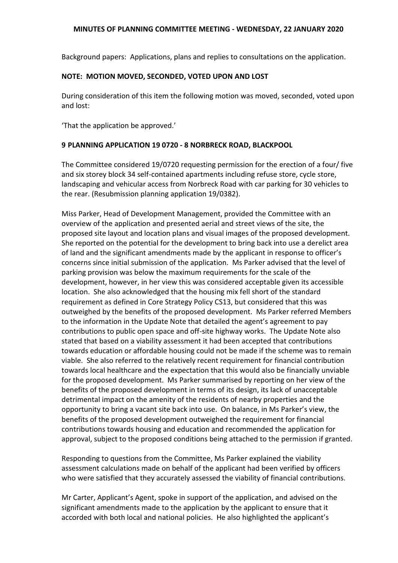Background papers: Applications, plans and replies to consultations on the application.

## **NOTE: MOTION MOVED, SECONDED, VOTED UPON AND LOST**

During consideration of this item the following motion was moved, seconded, voted upon and lost:

'That the application be approved.'

# **9 PLANNING APPLICATION 19 0720 - 8 NORBRECK ROAD, BLACKPOOL**

The Committee considered 19/0720 requesting permission for the erection of a four/ five and six storey block 34 self-contained apartments including refuse store, cycle store, landscaping and vehicular access from Norbreck Road with car parking for 30 vehicles to the rear. (Resubmission planning application 19/0382).

Miss Parker, Head of Development Management, provided the Committee with an overview of the application and presented aerial and street views of the site, the proposed site layout and location plans and visual images of the proposed development. She reported on the potential for the development to bring back into use a derelict area of land and the significant amendments made by the applicant in response to officer's concerns since initial submission of the application. Ms Parker advised that the level of parking provision was below the maximum requirements for the scale of the development, however, in her view this was considered acceptable given its accessible location. She also acknowledged that the housing mix fell short of the standard requirement as defined in Core Strategy Policy CS13, but considered that this was outweighed by the benefits of the proposed development. Ms Parker referred Members to the information in the Update Note that detailed the agent's agreement to pay contributions to public open space and off-site highway works. The Update Note also stated that based on a viability assessment it had been accepted that contributions towards education or affordable housing could not be made if the scheme was to remain viable. She also referred to the relatively recent requirement for financial contribution towards local healthcare and the expectation that this would also be financially unviable for the proposed development. Ms Parker summarised by reporting on her view of the benefits of the proposed development in terms of its design, its lack of unacceptable detrimental impact on the amenity of the residents of nearby properties and the opportunity to bring a vacant site back into use. On balance, in Ms Parker's view, the benefits of the proposed development outweighed the requirement for financial contributions towards housing and education and recommended the application for approval, subject to the proposed conditions being attached to the permission if granted.

Responding to questions from the Committee, Ms Parker explained the viability assessment calculations made on behalf of the applicant had been verified by officers who were satisfied that they accurately assessed the viability of financial contributions.

Mr Carter, Applicant's Agent, spoke in support of the application, and advised on the significant amendments made to the application by the applicant to ensure that it accorded with both local and national policies. He also highlighted the applicant's